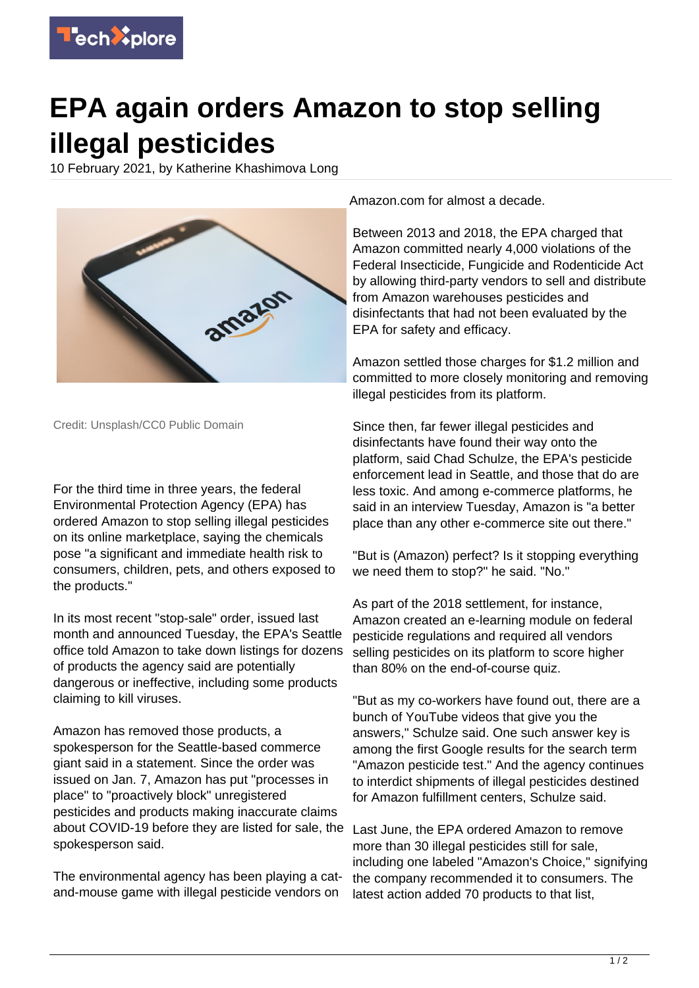

## **EPA again orders Amazon to stop selling illegal pesticides**

10 February 2021, by Katherine Khashimova Long



Credit: Unsplash/CC0 Public Domain

For the third time in three years, the federal Environmental Protection Agency (EPA) has ordered Amazon to stop selling illegal pesticides on its online marketplace, saying the chemicals pose "a significant and immediate health risk to consumers, children, pets, and others exposed to the products."

In its most recent "stop-sale" order, issued last month and announced Tuesday, the EPA's Seattle office told Amazon to take down listings for dozens of products the agency said are potentially dangerous or ineffective, including some products claiming to kill viruses.

Amazon has removed those products, a spokesperson for the Seattle-based commerce giant said in a statement. Since the order was issued on Jan. 7, Amazon has put "processes in place" to "proactively block" unregistered pesticides and products making inaccurate claims about COVID-19 before they are listed for sale, the spokesperson said.

The environmental agency has been playing a catand-mouse game with illegal pesticide vendors on

Amazon.com for almost a decade.

Between 2013 and 2018, the EPA charged that Amazon committed nearly 4,000 violations of the Federal Insecticide, Fungicide and Rodenticide Act by allowing third-party vendors to sell and distribute from Amazon warehouses pesticides and disinfectants that had not been evaluated by the EPA for safety and efficacy.

Amazon settled those charges for \$1.2 million and committed to more closely monitoring and removing illegal pesticides from its platform.

Since then, far fewer illegal pesticides and disinfectants have found their way onto the platform, said Chad Schulze, the EPA's pesticide enforcement lead in Seattle, and those that do are less toxic. And among e-commerce platforms, he said in an interview Tuesday, Amazon is "a better place than any other e-commerce site out there."

"But is (Amazon) perfect? Is it stopping everything we need them to stop?" he said. "No."

As part of the 2018 settlement, for instance, Amazon created an e-learning module on federal pesticide regulations and required all vendors selling pesticides on its platform to score higher than 80% on the end-of-course quiz.

"But as my co-workers have found out, there are a bunch of YouTube videos that give you the answers," Schulze said. One such answer key is among the first Google results for the search term "Amazon pesticide test." And the agency continues to interdict shipments of illegal pesticides destined for Amazon fulfillment centers, Schulze said.

Last June, the EPA ordered Amazon to remove more than 30 illegal pesticides still for sale, including one labeled "Amazon's Choice," signifying the company recommended it to consumers. The latest action added 70 products to that list,